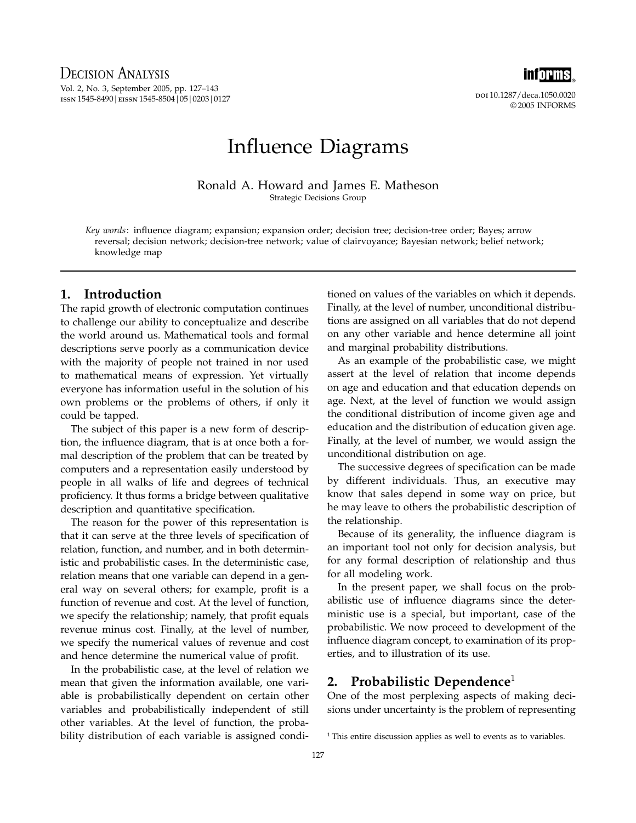

doi 10.1287/deca.1050.0020 © 2005 INFORMS

# Influence Diagrams

Ronald A. Howard and James E. Matheson Strategic Decisions Group

Key words: influence diagram; expansion; expansion order; decision tree; decision-tree order; Bayes; arrow reversal; decision network; decision-tree network; value of clairvoyance; Bayesian network; belief network; knowledge map

# 1. Introduction

The rapid growth of electronic computation continues to challenge our ability to conceptualize and describe the world around us. Mathematical tools and formal descriptions serve poorly as a communication device with the majority of people not trained in nor used to mathematical means of expression. Yet virtually everyone has information useful in the solution of his own problems or the problems of others, if only it could be tapped.

The subject of this paper is a new form of description, the influence diagram, that is at once both a formal description of the problem that can be treated by computers and a representation easily understood by people in all walks of life and degrees of technical proficiency. It thus forms a bridge between qualitative description and quantitative specification.

The reason for the power of this representation is that it can serve at the three levels of specification of relation, function, and number, and in both deterministic and probabilistic cases. In the deterministic case, relation means that one variable can depend in a general way on several others; for example, profit is a function of revenue and cost. At the level of function, we specify the relationship; namely, that profit equals revenue minus cost. Finally, at the level of number, we specify the numerical values of revenue and cost and hence determine the numerical value of profit.

In the probabilistic case, at the level of relation we mean that given the information available, one variable is probabilistically dependent on certain other variables and probabilistically independent of still other variables. At the level of function, the probability distribution of each variable is assigned conditioned on values of the variables on which it depends. Finally, at the level of number, unconditional distributions are assigned on all variables that do not depend on any other variable and hence determine all joint and marginal probability distributions.

As an example of the probabilistic case, we might assert at the level of relation that income depends on age and education and that education depends on age. Next, at the level of function we would assign the conditional distribution of income given age and education and the distribution of education given age. Finally, at the level of number, we would assign the unconditional distribution on age.

The successive degrees of specification can be made by different individuals. Thus, an executive may know that sales depend in some way on price, but he may leave to others the probabilistic description of the relationship.

Because of its generality, the influence diagram is an important tool not only for decision analysis, but for any formal description of relationship and thus for all modeling work.

In the present paper, we shall focus on the probabilistic use of influence diagrams since the deterministic use is a special, but important, case of the probabilistic. We now proceed to development of the influence diagram concept, to examination of its properties, and to illustration of its use.

# 2. Probabilistic Dependence $1$

One of the most perplexing aspects of making decisions under uncertainty is the problem of representing

<sup>&</sup>lt;sup>1</sup> This entire discussion applies as well to events as to variables.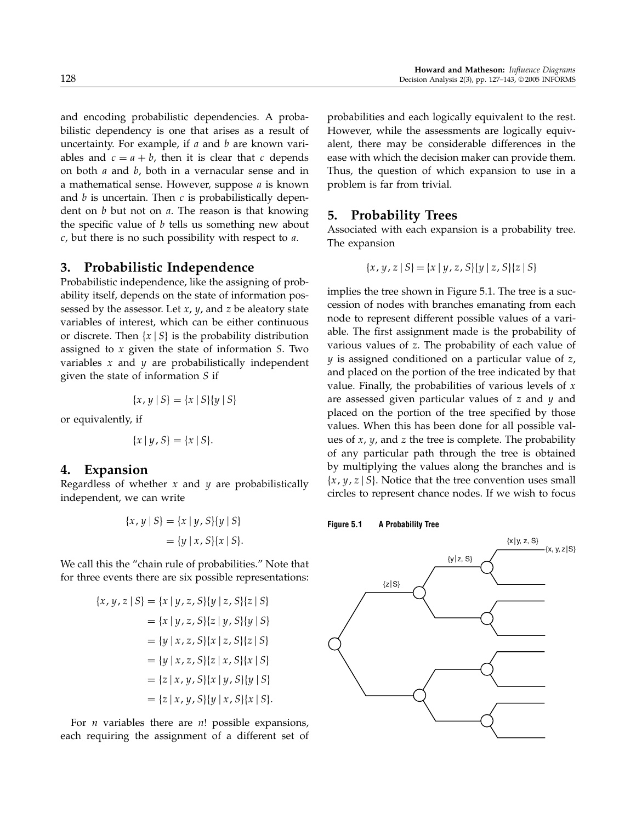and encoding probabilistic dependencies. A probabilistic dependency is one that arises as a result of uncertainty. For example, if  $a$  and  $b$  are known variables and  $c = a + b$ , then it is clear that c depends on both  $a$  and  $b$ , both in a vernacular sense and in a mathematical sense. However, suppose a is known and  $b$  is uncertain. Then  $c$  is probabilistically dependent on  $b$  but not on  $a$ . The reason is that knowing the specific value of  $b$  tells us something new about  $c$ , but there is no such possibility with respect to  $a$ .

### 3. Probabilistic Independence

Probabilistic independence, like the assigning of probability itself, depends on the state of information possessed by the assessor. Let  $x$ ,  $y$ , and  $z$  be aleatory state variables of interest, which can be either continuous or discrete. Then  $\{x \mid S\}$  is the probability distribution assigned to x given the state of information S. Two variables  $x$  and  $y$  are probabilistically independent given the state of information S if

$$
\{x, y \mid S\} = \{x \mid S\} \{y \mid S\}
$$

or equivalently, if

$$
\{x \mid y, S\} = \{x \mid S\}.
$$

### 4. Expansion

Regardless of whether  $x$  and  $y$  are probabilistically independent, we can write

$$
\{x, y \mid S\} = \{x \mid y, S\} \{y \mid S\}
$$

$$
= \{y \mid x, S\} \{x \mid S\}.
$$

We call this the "chain rule of probabilities." Note that for three events there are six possible representations:

$$
\{x, y, z \mid S\} = \{x \mid y, z, S\} \{y \mid z, S\} \{z \mid S\}
$$

$$
= \{x \mid y, z, S\} \{z \mid y, S\} \{y \mid S\}
$$

$$
= \{y \mid x, z, S\} \{x \mid z, S\} \{z \mid S\}
$$

$$
= \{y \mid x, z, S\} \{z \mid x, S\} \{x \mid S\}
$$

$$
= \{z \mid x, y, S\} \{x \mid y, S\} \{y \mid S\}
$$

$$
= \{z \mid x, y, S\} \{y \mid x, S\} \{x \mid S\}.
$$

For *n* variables there are *n*! possible expansions, each requiring the assignment of a different set of probabilities and each logically equivalent to the rest. However, while the assessments are logically equivalent, there may be considerable differences in the ease with which the decision maker can provide them. Thus, the question of which expansion to use in a problem is far from trivial.

### 5. Probability Trees

Associated with each expansion is a probability tree. The expansion

$$
\{x, y, z \mid S\} = \{x \mid y, z, S\} \{y \mid z, S\} \{z \mid S\}
$$

implies the tree shown in Figure 5.1. The tree is a succession of nodes with branches emanating from each node to represent different possible values of a variable. The first assignment made is the probability of various values of z. The probability of each value of y is assigned conditioned on a particular value of z, and placed on the portion of the tree indicated by that value. Finally, the probabilities of various levels of  $x$ are assessed given particular values of  $z$  and  $y$  and placed on the portion of the tree specified by those values. When this has been done for all possible values of  $x$ ,  $y$ , and  $z$  the tree is complete. The probability of any particular path through the tree is obtained by multiplying the values along the branches and is  $\{x, y, z \mid S\}$ . Notice that the tree convention uses small circles to represent chance nodes. If we wish to focus

### Figure 5.1 A Probability Tree

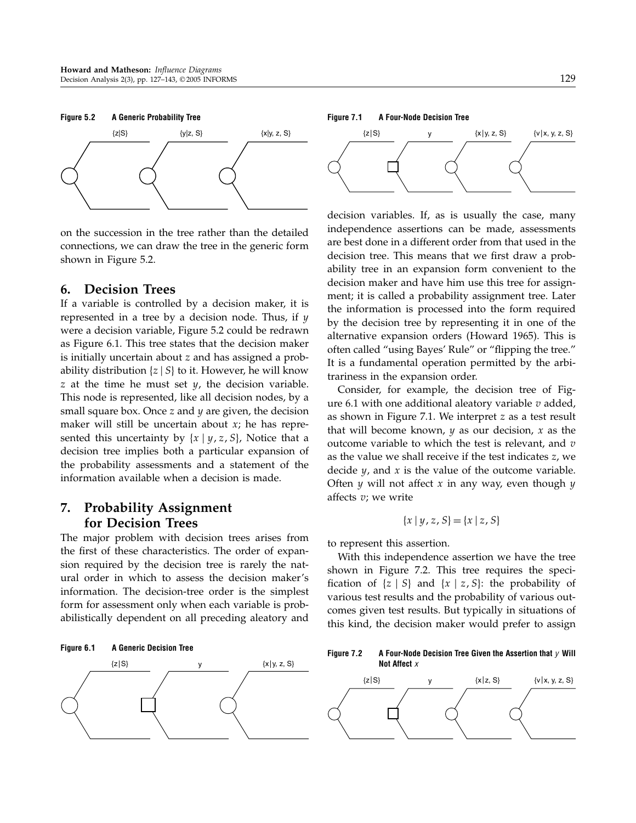

on the succession in the tree rather than the detailed connections, we can draw the tree in the generic form shown in Figure 5.2.

# 6. Decision Trees

If a variable is controlled by a decision maker, it is represented in a tree by a decision node. Thus, if  $y$ were a decision variable, Figure 5.2 could be redrawn as Figure 6.1. This tree states that the decision maker is initially uncertain about z and has assigned a probability distribution  $\{z \mid S\}$  to it. However, he will know z at the time he must set  $y$ , the decision variable. This node is represented, like all decision nodes, by a small square box. Once  $z$  and  $y$  are given, the decision maker will still be uncertain about  $x$ ; he has represented this uncertainty by  $\{x \mid y, z, S\}$ , Notice that a decision tree implies both a particular expansion of the probability assessments and a statement of the information available when a decision is made.

# 7. Probability Assignment for Decision Trees

The major problem with decision trees arises from the first of these characteristics. The order of expansion required by the decision tree is rarely the natural order in which to assess the decision maker's information. The decision-tree order is the simplest form for assessment only when each variable is probabilistically dependent on all preceding aleatory and





#### Figure 7.1 A Four-Node Decision Tree



decision variables. If, as is usually the case, many independence assertions can be made, assessments are best done in a different order from that used in the decision tree. This means that we first draw a probability tree in an expansion form convenient to the decision maker and have him use this tree for assignment; it is called a probability assignment tree. Later the information is processed into the form required by the decision tree by representing it in one of the alternative expansion orders (Howard 1965). This is often called "using Bayes' Rule" or "flipping the tree." It is a fundamental operation permitted by the arbitrariness in the expansion order.

Consider, for example, the decision tree of Figure 6.1 with one additional aleatory variable  $v$  added, as shown in Figure 7.1. We interpret z as a test result that will become known,  $y$  as our decision,  $x$  as the outcome variable to which the test is relevant, and  $v$ as the value we shall receive if the test indicates z, we decide  $y$ , and  $x$  is the value of the outcome variable. Often  $y$  will not affect  $x$  in any way, even though  $y$ affects  $v$ ; we write

$$
\{x \mid y, z, S\} = \{x \mid z, S\}
$$

to represent this assertion.

With this independence assertion we have the tree shown in Figure 7.2. This tree requires the specification of  $\{z \mid S\}$  and  $\{x \mid z, S\}$ : the probability of various test results and the probability of various outcomes given test results. But typically in situations of this kind, the decision maker would prefer to assign

Figure 7.2 A Four-Node Decision Tree Given the Assertion that  $\gamma$  Will Not Affect x

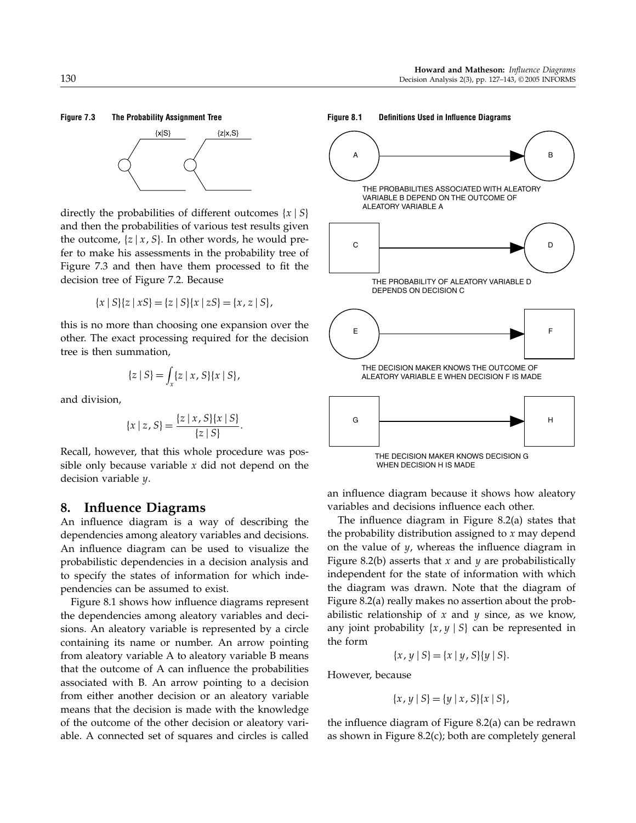# Figure 7.3 The Probability Assignment Tree



directly the probabilities of different outcomes  $\{x \mid S\}$ and then the probabilities of various test results given the outcome,  $\{z \mid x, S\}$ . In other words, he would prefer to make his assessments in the probability tree of Figure 7.3 and then have them processed to fit the decision tree of Figure 7.2. Because

$$
\{x \mid S\}\{z \mid xS\} = \{z \mid S\}\{x \mid zS\} = \{x, z \mid S\},\
$$

this is no more than choosing one expansion over the other. The exact processing required for the decision tree is then summation,

$$
\{z \mid S\} = \int_x \{z \mid x, S\} \{x \mid S\},\
$$

and division,

$$
\{x \mid z, S\} = \frac{\{z \mid x, S\} \{x \mid S\}}{\{z \mid S\}}.
$$

Recall, however, that this whole procedure was possible only because variable  $x$  did not depend on the decision variable y.

### 8. Influence Diagrams

An influence diagram is a way of describing the dependencies among aleatory variables and decisions. An influence diagram can be used to visualize the probabilistic dependencies in a decision analysis and to specify the states of information for which independencies can be assumed to exist.

Figure 8.1 shows how influence diagrams represent the dependencies among aleatory variables and decisions. An aleatory variable is represented by a circle containing its name or number. An arrow pointing from aleatory variable A to aleatory variable B means that the outcome of A can influence the probabilities associated with B. An arrow pointing to a decision from either another decision or an aleatory variable means that the decision is made with the knowledge of the outcome of the other decision or aleatory variable. A connected set of squares and circles is called





an influence diagram because it shows how aleatory variables and decisions influence each other.

The influence diagram in Figure 8.2(a) states that the probability distribution assigned to  $x$  may depend on the value of  $y$ , whereas the influence diagram in Figure 8.2(b) asserts that  $x$  and  $y$  are probabilistically independent for the state of information with which the diagram was drawn. Note that the diagram of Figure 8.2(a) really makes no assertion about the probabilistic relationship of  $x$  and  $y$  since, as we know, any joint probability  $\{x,y\mid S\}$  can be represented in the form

$$
\{x, y \mid S\} = \{x \mid y, S\} \{y \mid S\}.
$$

However, because

$$
\{x, y \mid S\} = \{y \mid x, S\} \{x \mid S\},\
$$

the influence diagram of Figure 8.2(a) can be redrawn as shown in Figure 8.2(c); both are completely general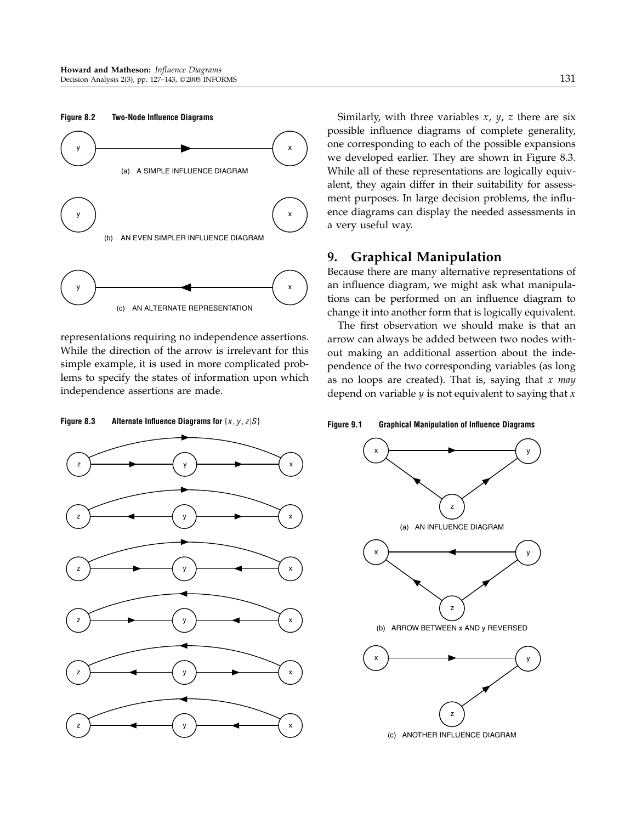

representations requiring no independence assertions. While the direction of the arrow is irrelevant for this simple example, it is used in more complicated problems to specify the states of information upon which independence assertions are made.

Figure 8.3 Alternate Influence Diagrams for  $\{x, y, z | S\}$ 



Similarly, with three variables  $x$ ,  $y$ ,  $z$  there are six possible influence diagrams of complete generality, one corresponding to each of the possible expansions we developed earlier. They are shown in Figure 8.3. While all of these representations are logically equivalent, they again differ in their suitability for assessment purposes. In large decision problems, the influence diagrams can display the needed assessments in a very useful way.

# 9. Graphical Manipulation

Because there are many alternative representations of an influence diagram, we might ask what manipulations can be performed on an influence diagram to change it into another form that is logically equivalent.

The first observation we should make is that an arrow can always be added between two nodes without making an additional assertion about the independence of the two corresponding variables (as long as no loops are created). That is, saying that  $x$  may depend on variable  $y$  is not equivalent to saying that  $x$ 

Figure 9.1 Graphical Manipulation of Influence Diagrams

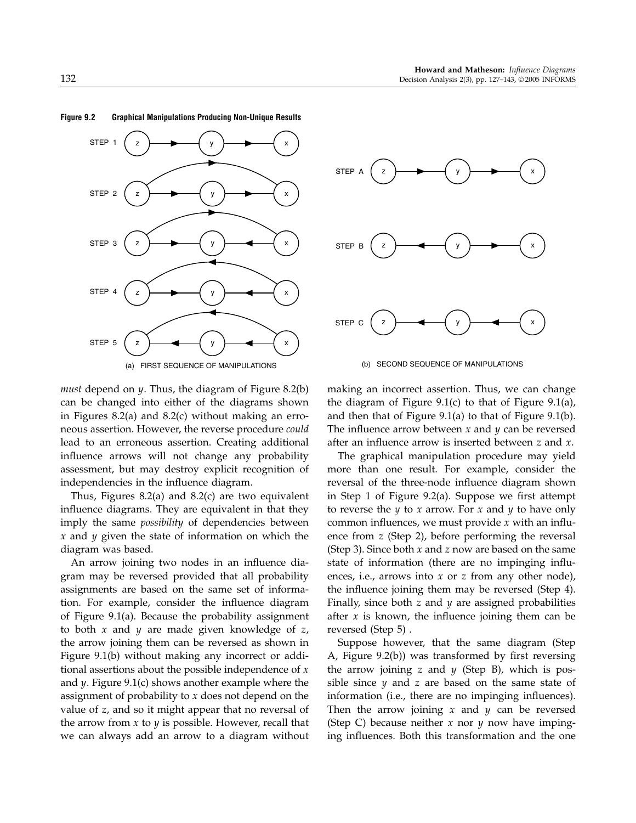

#### Figure 9.2 Graphical Manipulations Producing Non-Unique Results

*must* depend on  $\psi$ . Thus, the diagram of Figure 8.2(b) can be changed into either of the diagrams shown in Figures 8.2(a) and 8.2(c) without making an erroneous assertion. However, the reverse procedure could lead to an erroneous assertion. Creating additional influence arrows will not change any probability assessment, but may destroy explicit recognition of independencies in the influence diagram.

Thus, Figures 8.2(a) and 8.2(c) are two equivalent influence diagrams. They are equivalent in that they imply the same *possibility* of dependencies between  $x$  and  $y$  given the state of information on which the diagram was based.

An arrow joining two nodes in an influence diagram may be reversed provided that all probability assignments are based on the same set of information. For example, consider the influence diagram of Figure 9.1(a). Because the probability assignment to both  $x$  and  $y$  are made given knowledge of  $z$ , the arrow joining them can be reversed as shown in Figure 9.1(b) without making any incorrect or additional assertions about the possible independence of  $x$ and  $y$ . Figure 9.1(c) shows another example where the assignment of probability to  $x$  does not depend on the value of z, and so it might appear that no reversal of the arrow from  $x$  to  $y$  is possible. However, recall that we can always add an arrow to a diagram without



making an incorrect assertion. Thus, we can change the diagram of Figure  $9.1(c)$  to that of Figure  $9.1(a)$ , and then that of Figure 9.1(a) to that of Figure 9.1(b). The influence arrow between  $x$  and  $y$  can be reversed after an influence arrow is inserted between z and x.

The graphical manipulation procedure may yield more than one result. For example, consider the reversal of the three-node influence diagram shown in Step 1 of Figure 9.2(a). Suppose we first attempt to reverse the  $y$  to  $x$  arrow. For  $x$  and  $y$  to have only common influences, we must provide  $x$  with an influence from z (Step 2), before performing the reversal (Step 3). Since both  $x$  and  $z$  now are based on the same state of information (there are no impinging influences, i.e., arrows into  $x$  or  $z$  from any other node), the influence joining them may be reversed (Step 4). Finally, since both  $z$  and  $y$  are assigned probabilities after  $x$  is known, the influence joining them can be reversed (Step 5) .

Suppose however, that the same diagram (Step A, Figure 9.2(b)) was transformed by first reversing the arrow joining z and  $y$  (Step B), which is possible since  $y$  and  $z$  are based on the same state of information (i.e., there are no impinging influences). Then the arrow joining  $x$  and  $y$  can be reversed (Step C) because neither  $x$  nor  $y$  now have impinging influences. Both this transformation and the one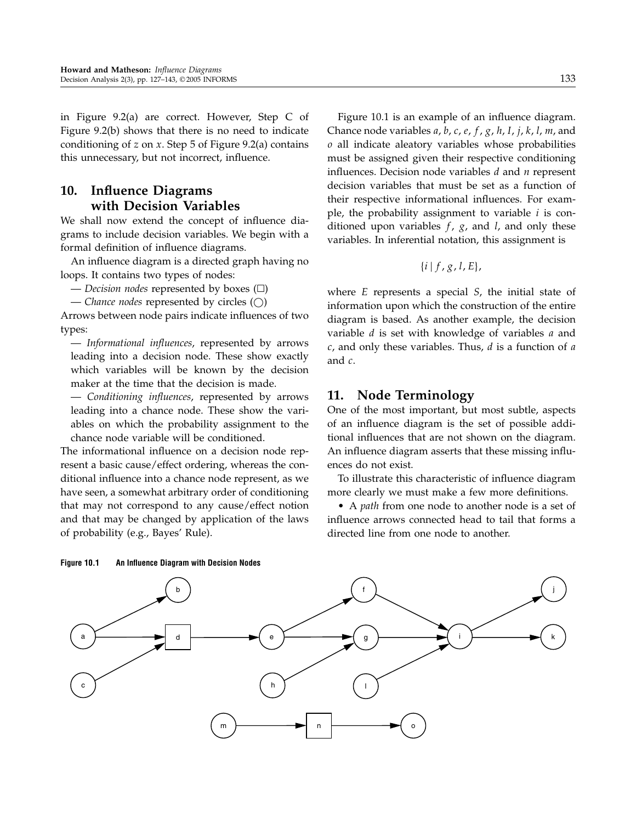in Figure 9.2(a) are correct. However, Step C of Figure 9.2(b) shows that there is no need to indicate conditioning of z on x. Step  $5$  of Figure 9.2(a) contains this unnecessary, but not incorrect, influence.

# 10. Influence Diagrams with Decision Variables

We shall now extend the concept of influence diagrams to include decision variables. We begin with a formal definition of influence diagrams.

An influence diagram is a directed graph having no loops. It contains two types of nodes:

— Decision nodes represented by boxes  $(\square)$ 

— Chance nodes represented by circles  $(\bigcirc)$ 

Arrows between node pairs indicate influences of two types:

— Informational influences, represented by arrows leading into a decision node. These show exactly which variables will be known by the decision maker at the time that the decision is made.

— Conditioning influences, represented by arrows leading into a chance node. These show the variables on which the probability assignment to the chance node variable will be conditioned.

The informational influence on a decision node represent a basic cause/effect ordering, whereas the conditional influence into a chance node represent, as we have seen, a somewhat arbitrary order of conditioning that may not correspond to any cause/effect notion and that may be changed by application of the laws of probability (e.g., Bayes' Rule).

Figure 10.1 is an example of an influence diagram. Chance node variables  $a$ ,  $b$ ,  $c$ ,  $e$ ,  $f$ ,  $g$ ,  $h$ ,  $I$ ,  $j$ ,  $k$ ,  $l$ ,  $m$ , and o all indicate aleatory variables whose probabilities must be assigned given their respective conditioning influences. Decision node variables  $d$  and  $n$  represent decision variables that must be set as a function of their respective informational influences. For example, the probability assignment to variable  $i$  is conditioned upon variables  $f$ ,  $g$ , and  $l$ , and only these variables. In inferential notation, this assignment is

$$
\{i\mid f,g,l,E\},\
$$

where E represents a special S, the initial state of information upon which the construction of the entire diagram is based. As another example, the decision variable  $d$  is set with knowledge of variables  $a$  and  $c$ , and only these variables. Thus,  $d$  is a function of  $a$ and c.

# 11. Node Terminology

One of the most important, but most subtle, aspects of an influence diagram is the set of possible additional influences that are not shown on the diagram. An influence diagram asserts that these missing influences do not exist.

To illustrate this characteristic of influence diagram more clearly we must make a few more definitions.

• A path from one node to another node is a set of influence arrows connected head to tail that forms a directed line from one node to another.



Figure 10.1 An Influence Diagram with Decision Nodes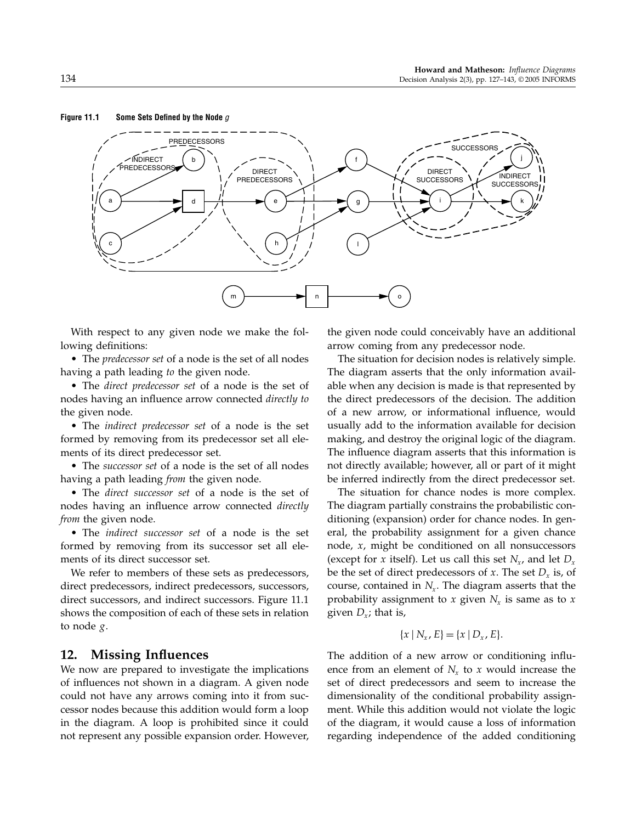#### Figure 11.1 Some Sets Defined by the Node  $g$



With respect to any given node we make the following definitions:

• The *predecessor set* of a node is the set of all nodes having a path leading to the given node.

• The direct predecessor set of a node is the set of nodes having an influence arrow connected directly to the given node.

• The indirect predecessor set of a node is the set formed by removing from its predecessor set all elements of its direct predecessor set.

• The *successor set* of a node is the set of all nodes having a path leading from the given node.

• The *direct successor set* of a node is the set of nodes having an influence arrow connected directly from the given node.

• The indirect successor set of a node is the set formed by removing from its successor set all elements of its direct successor set.

We refer to members of these sets as predecessors, direct predecessors, indirect predecessors, successors, direct successors, and indirect successors. Figure 11.1 shows the composition of each of these sets in relation to node g.

### 12. Missing Influences

We now are prepared to investigate the implications of influences not shown in a diagram. A given node could not have any arrows coming into it from successor nodes because this addition would form a loop in the diagram. A loop is prohibited since it could not represent any possible expansion order. However,

the given node could conceivably have an additional arrow coming from any predecessor node.

The situation for decision nodes is relatively simple. The diagram asserts that the only information available when any decision is made is that represented by the direct predecessors of the decision. The addition of a new arrow, or informational influence, would usually add to the information available for decision making, and destroy the original logic of the diagram. The influence diagram asserts that this information is not directly available; however, all or part of it might be inferred indirectly from the direct predecessor set.

The situation for chance nodes is more complex. The diagram partially constrains the probabilistic conditioning (expansion) order for chance nodes. In general, the probability assignment for a given chance node, x, might be conditioned on all nonsuccessors (except for x itself). Let us call this set  $N_{x}$ , and let  $D_{x}$ be the set of direct predecessors of x. The set  $D<sub>r</sub>$  is, of course, contained in  $N_r$ . The diagram asserts that the probability assignment to x given  $N_x$  is same as to x given  $D_{\nu}$ ; that is,

$$
\{x \mid N_x, E\} = \{x \mid D_x, E\}.
$$

The addition of a new arrow or conditioning influence from an element of  $N_r$  to x would increase the set of direct predecessors and seem to increase the dimensionality of the conditional probability assignment. While this addition would not violate the logic of the diagram, it would cause a loss of information regarding independence of the added conditioning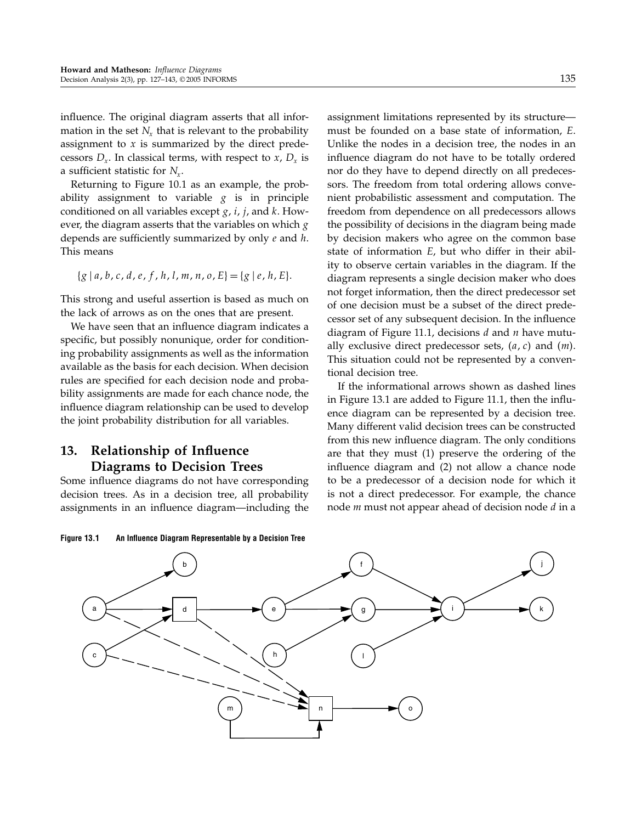influence. The original diagram asserts that all information in the set  $N_r$ , that is relevant to the probability assignment to  $x$  is summarized by the direct predecessors  $D_x$ . In classical terms, with respect to x,  $D_x$  is a sufficient statistic for  $N_x$ .

Returning to Figure 10.1 as an example, the probability assignment to variable  $g$  is in principle conditioned on all variables except  $g$ ,  $i$ ,  $j$ , and  $k$ . However, the diagram asserts that the variables on which  $g$ depends are sufficiently summarized by only  $e$  and  $h$ . This means

$$
\{g \mid a, b, c, d, e, f, h, l, m, n, o, E\} = \{g \mid e, h, E\}.
$$

This strong and useful assertion is based as much on the lack of arrows as on the ones that are present.

We have seen that an influence diagram indicates a specific, but possibly nonunique, order for conditioning probability assignments as well as the information available as the basis for each decision. When decision rules are specified for each decision node and probability assignments are made for each chance node, the influence diagram relationship can be used to develop the joint probability distribution for all variables.

# 13. Relationship of Influence Diagrams to Decision Trees

Some influence diagrams do not have corresponding decision trees. As in a decision tree, all probability assignments in an influence diagram—including the

assignment limitations represented by its structure must be founded on a base state of information, E. Unlike the nodes in a decision tree, the nodes in an influence diagram do not have to be totally ordered nor do they have to depend directly on all predecessors. The freedom from total ordering allows convenient probabilistic assessment and computation. The freedom from dependence on all predecessors allows the possibility of decisions in the diagram being made by decision makers who agree on the common base state of information E, but who differ in their ability to observe certain variables in the diagram. If the diagram represents a single decision maker who does not forget information, then the direct predecessor set of one decision must be a subset of the direct predecessor set of any subsequent decision. In the influence diagram of Figure 11.1, decisions  $d$  and  $n$  have mutually exclusive direct predecessor sets,  $(a, c)$  and  $(m)$ . This situation could not be represented by a conventional decision tree.

If the informational arrows shown as dashed lines in Figure 13.1 are added to Figure 11.1, then the influence diagram can be represented by a decision tree. Many different valid decision trees can be constructed from this new influence diagram. The only conditions are that they must (1) preserve the ordering of the influence diagram and (2) not allow a chance node to be a predecessor of a decision node for which it is not a direct predecessor. For example, the chance node  $m$  must not appear ahead of decision node  $d$  in a



Figure 13.1 An Influence Diagram Representable by a Decision Tree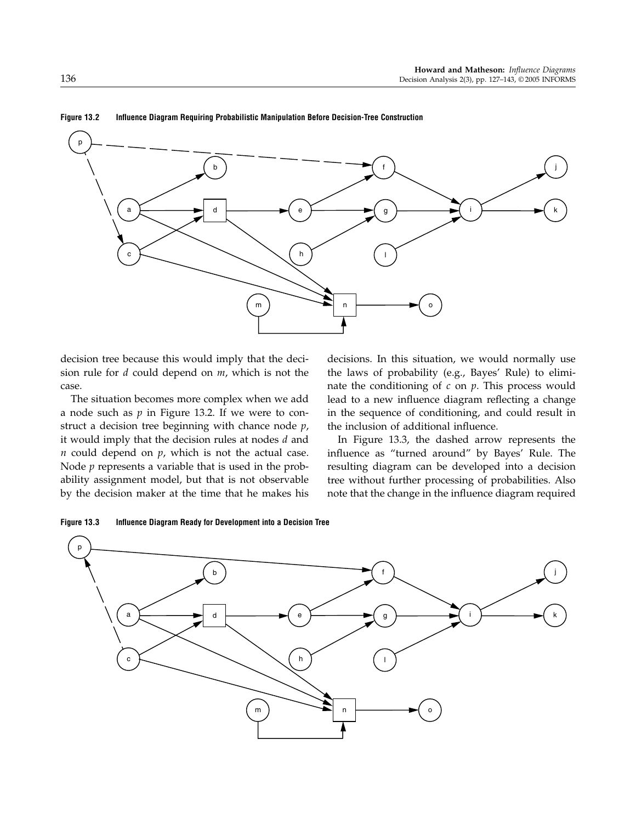

Figure 13.2 Influence Diagram Requiring Probabilistic Manipulation Before Decision-Tree Construction

decision tree because this would imply that the decision rule for  $d$  could depend on  $m$ , which is not the case.

The situation becomes more complex when we add a node such as  $p$  in Figure 13.2. If we were to construct a decision tree beginning with chance node  $p$ , it would imply that the decision rules at nodes  $d$  and  $n$  could depend on  $p$ , which is not the actual case. Node  $p$  represents a variable that is used in the probability assignment model, but that is not observable by the decision maker at the time that he makes his

decisions. In this situation, we would normally use the laws of probability (e.g., Bayes' Rule) to eliminate the conditioning of  $c$  on  $p$ . This process would lead to a new influence diagram reflecting a change in the sequence of conditioning, and could result in the inclusion of additional influence.

In Figure 13.3, the dashed arrow represents the influence as "turned around" by Bayes' Rule. The resulting diagram can be developed into a decision tree without further processing of probabilities. Also note that the change in the influence diagram required



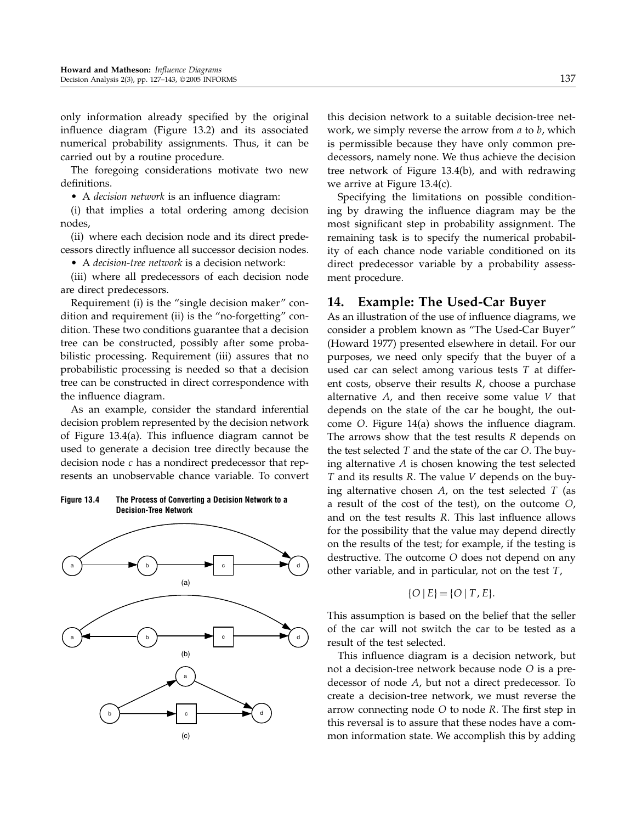only information already specified by the original influence diagram (Figure 13.2) and its associated numerical probability assignments. Thus, it can be carried out by a routine procedure.

The foregoing considerations motivate two new definitions.

• A decision network is an influence diagram:

(i) that implies a total ordering among decision nodes,

(ii) where each decision node and its direct predecessors directly influence all successor decision nodes.

• A decision-tree network is a decision network:

(iii) where all predecessors of each decision node are direct predecessors.

Requirement (i) is the "single decision maker" condition and requirement (ii) is the "no-forgetting" condition. These two conditions guarantee that a decision tree can be constructed, possibly after some probabilistic processing. Requirement (iii) assures that no probabilistic processing is needed so that a decision tree can be constructed in direct correspondence with the influence diagram.

As an example, consider the standard inferential decision problem represented by the decision network of Figure 13.4(a). This influence diagram cannot be used to generate a decision tree directly because the decision node  $c$  has a nondirect predecessor that represents an unobservable chance variable. To convert

### Figure 13.4 The Process of Converting a Decision Network to a Decision-Tree Network



this decision network to a suitable decision-tree network, we simply reverse the arrow from  $a$  to  $b$ , which is permissible because they have only common predecessors, namely none. We thus achieve the decision tree network of Figure 13.4(b), and with redrawing we arrive at Figure 13.4(c).

Specifying the limitations on possible conditioning by drawing the influence diagram may be the most significant step in probability assignment. The remaining task is to specify the numerical probability of each chance node variable conditioned on its direct predecessor variable by a probability assessment procedure.

# 14. Example: The Used-Car Buyer

As an illustration of the use of influence diagrams, we consider a problem known as "The Used-Car Buyer" (Howard 1977) presented elsewhere in detail. For our purposes, we need only specify that the buyer of a used car can select among various tests T at different costs, observe their results R, choose a purchase alternative  $A$ , and then receive some value  $V$  that depends on the state of the car he bought, the outcome O. Figure 14(a) shows the influence diagram. The arrows show that the test results  *depends on* the test selected  $T$  and the state of the car  $O$ . The buying alternative  $A$  is chosen knowing the test selected T and its results R. The value V depends on the buying alternative chosen  $A$ , on the test selected  $T$  (as a result of the cost of the test), on the outcome O, and on the test results R. This last influence allows for the possibility that the value may depend directly on the results of the test; for example, if the testing is destructive. The outcome O does not depend on any other variable, and in particular, not on the test  $T$ ,

$$
\{O \mid E\} = \{O \mid T, E\}.
$$

This assumption is based on the belief that the seller of the car will not switch the car to be tested as a result of the test selected.

This influence diagram is a decision network, but not a decision-tree network because node O is a predecessor of node A, but not a direct predecessor. To create a decision-tree network, we must reverse the arrow connecting node O to node R. The first step in this reversal is to assure that these nodes have a common information state. We accomplish this by adding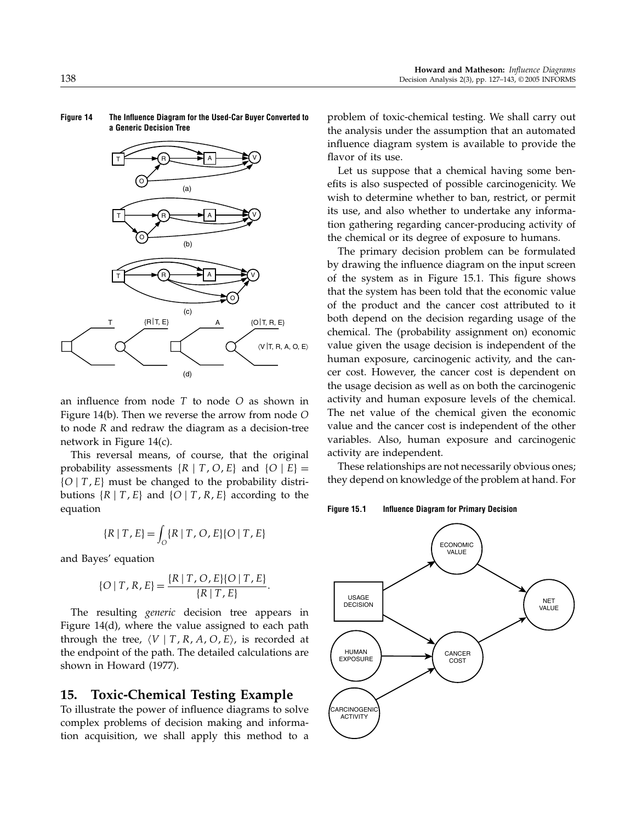

Figure 14 The Influence Diagram for the Used-Car Buyer Converted to a Generic Decision Tree

an influence from node  $T$  to node  $O$  as shown in Figure 14(b). Then we reverse the arrow from node O to node R and redraw the diagram as a decision-tree network in Figure 14(c).

This reversal means, of course, that the original probability assessments  $\{R | T, O, E\}$  and  $\{O | E\}$  =  $\{O \mid T, E\}$  must be changed to the probability distributions  $\{R \mid T, E\}$  and  $\{O \mid T, R, E\}$  according to the equation

$$
\{R \mid T, E\} = \int_{O} \{R \mid T, O, E\} \{O \mid T, E\}
$$

and Bayes' equation

$$
\{O \mid T, R, E\} = \frac{\{R \mid T, O, E\} \{O \mid T, E\}}{\{R \mid T, E\}}.
$$

The resulting *generic* decision tree appears in Figure 14(d), where the value assigned to each path through the tree,  $\langle V | T, R, A, O, E \rangle$ , is recorded at the endpoint of the path. The detailed calculations are shown in Howard (1977).

# 15. Toxic-Chemical Testing Example

To illustrate the power of influence diagrams to solve complex problems of decision making and information acquisition, we shall apply this method to a problem of toxic-chemical testing. We shall carry out the analysis under the assumption that an automated influence diagram system is available to provide the flavor of its use.

Let us suppose that a chemical having some benefits is also suspected of possible carcinogenicity. We wish to determine whether to ban, restrict, or permit its use, and also whether to undertake any information gathering regarding cancer-producing activity of the chemical or its degree of exposure to humans.

The primary decision problem can be formulated by drawing the influence diagram on the input screen of the system as in Figure 15.1. This figure shows that the system has been told that the economic value of the product and the cancer cost attributed to it both depend on the decision regarding usage of the chemical. The (probability assignment on) economic value given the usage decision is independent of the human exposure, carcinogenic activity, and the cancer cost. However, the cancer cost is dependent on the usage decision as well as on both the carcinogenic activity and human exposure levels of the chemical. The net value of the chemical given the economic value and the cancer cost is independent of the other variables. Also, human exposure and carcinogenic activity are independent.

These relationships are not necessarily obvious ones; they depend on knowledge of the problem at hand. For

Figure 15.1 Influence Diagram for Primary Decision

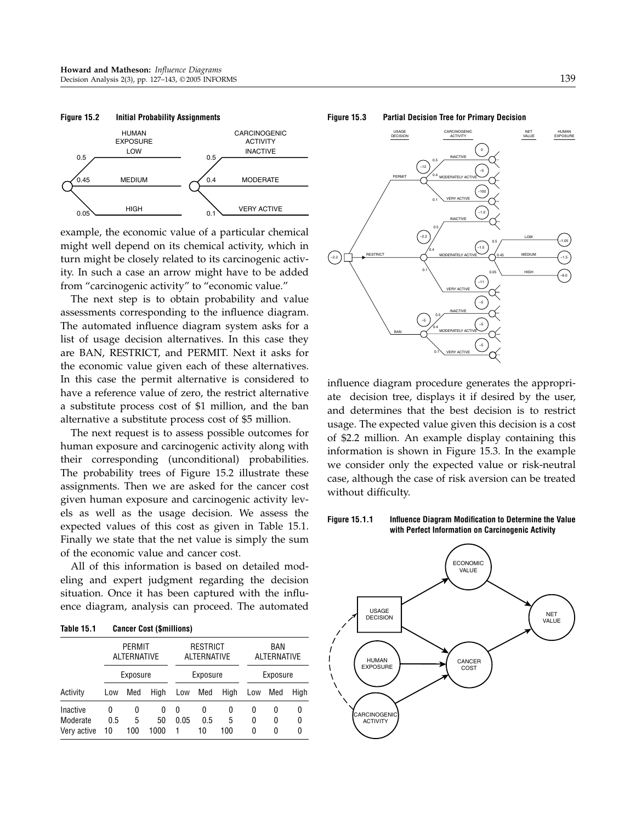

example, the economic value of a particular chemical might well depend on its chemical activity, which in turn might be closely related to its carcinogenic activity. In such a case an arrow might have to be added from "carcinogenic activity" to "economic value."

The next step is to obtain probability and value assessments corresponding to the influence diagram. The automated influence diagram system asks for a list of usage decision alternatives. In this case they are BAN, RESTRICT, and PERMIT. Next it asks for the economic value given each of these alternatives. In this case the permit alternative is considered to have a reference value of zero, the restrict alternative a substitute process cost of \$1 million, and the ban alternative a substitute process cost of \$5 million.

The next request is to assess possible outcomes for human exposure and carcinogenic activity along with their corresponding (unconditional) probabilities. The probability trees of Figure 15.2 illustrate these assignments. Then we are asked for the cancer cost given human exposure and carcinogenic activity levels as well as the usage decision. We assess the expected values of this cost as given in Table 15.1. Finally we state that the net value is simply the sum of the economic value and cancer cost.

All of this information is based on detailed modeling and expert judgment regarding the decision situation. Once it has been captured with the influence diagram, analysis can proceed. The automated

| Table 15.1 | <b>Cancer Cost (\$millions)</b> |
|------------|---------------------------------|
|------------|---------------------------------|

|             | <b>PERMIT</b><br>ALTERNATIVE |     |      | <b>RESTRICT</b><br><b>ALTERNATIVE</b><br>Exposure |     |      | BAN<br><b>ALTERNATIVE</b><br>Exposure |     |      |
|-------------|------------------------------|-----|------|---------------------------------------------------|-----|------|---------------------------------------|-----|------|
|             | Exposure                     |     |      |                                                   |     |      |                                       |     |      |
| Activity    | Low                          | Med | High | Low                                               | Med | High | Low                                   | Med | High |
| Inactive    | 0                            | 0   | 0    | 0                                                 | 0   | 0    | 0                                     | 0   | 0    |
| Moderate    | 0.5                          | 5   | 50   | 0.05                                              | 0.5 | 5    | 0                                     | 0   | 0    |
| Very active | 10                           | 100 | 1000 |                                                   | 10  | 100  | 0                                     | 0   | 0    |

#### Figure 15.3 Partial Decision Tree for Primary Decision



influence diagram procedure generates the appropriate decision tree, displays it if desired by the user, and determines that the best decision is to restrict usage. The expected value given this decision is a cost of \$2.2 million. An example display containing this information is shown in Figure 15.3. In the example we consider only the expected value or risk-neutral case, although the case of risk aversion can be treated without difficulty.

# Figure 15.1.1 Influence Diagram Modification to Determine the Value

with Perfect Information on Carcinogenic Activity

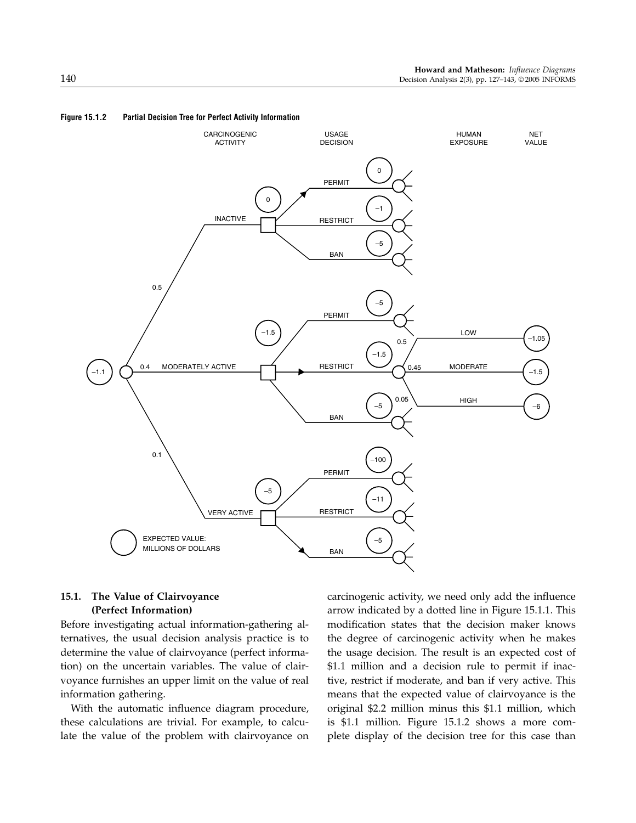

### Figure 15.1.2 Partial Decision Tree for Perfect Activity Information

### 15.1. The Value of Clairvoyance (Perfect Information)

Before investigating actual information-gathering alternatives, the usual decision analysis practice is to determine the value of clairvoyance (perfect information) on the uncertain variables. The value of clairvoyance furnishes an upper limit on the value of real information gathering.

With the automatic influence diagram procedure, these calculations are trivial. For example, to calculate the value of the problem with clairvoyance on carcinogenic activity, we need only add the influence arrow indicated by a dotted line in Figure 15.1.1. This modification states that the decision maker knows the degree of carcinogenic activity when he makes the usage decision. The result is an expected cost of \$1.1 million and a decision rule to permit if inactive, restrict if moderate, and ban if very active. This means that the expected value of clairvoyance is the original \$2.2 million minus this \$1.1 million, which is \$1.1 million. Figure 15.1.2 shows a more complete display of the decision tree for this case than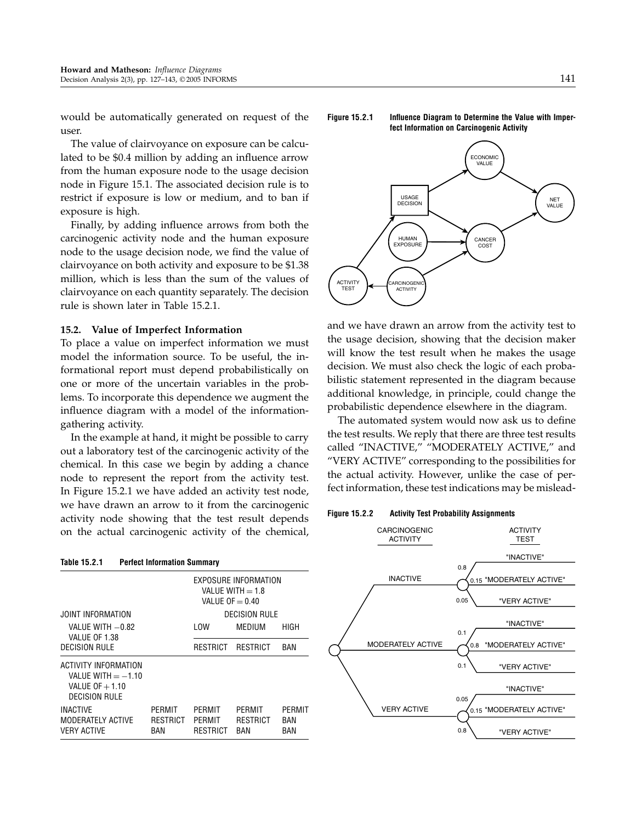would be automatically generated on request of the user.

The value of clairvoyance on exposure can be calculated to be \$0.4 million by adding an influence arrow from the human exposure node to the usage decision node in Figure 15.1. The associated decision rule is to restrict if exposure is low or medium, and to ban if exposure is high.

Finally, by adding influence arrows from both the carcinogenic activity node and the human exposure node to the usage decision node, we find the value of clairvoyance on both activity and exposure to be \$1.38 million, which is less than the sum of the values of clairvoyance on each quantity separately. The decision rule is shown later in Table 15.2.1.

### 15.2. Value of Imperfect Information

To place a value on imperfect information we must model the information source. To be useful, the informational report must depend probabilistically on one or more of the uncertain variables in the problems. To incorporate this dependence we augment the influence diagram with a model of the informationgathering activity.

In the example at hand, it might be possible to carry out a laboratory test of the carcinogenic activity of the chemical. In this case we begin by adding a chance node to represent the report from the activity test. In Figure 15.2.1 we have added an activity test node, we have drawn an arrow to it from the carcinogenic activity node showing that the test result depends on the actual carcinogenic activity of the chemical,

### Figure 15.2.1 Influence Diagram to Determine the Value with Imperfect Information on Carcinogenic Activity



and we have drawn an arrow from the activity test to the usage decision, showing that the decision maker will know the test result when he makes the usage decision. We must also check the logic of each probabilistic statement represented in the diagram because additional knowledge, in principle, could change the probabilistic dependence elsewhere in the diagram.

The automated system would now ask us to define the test results. We reply that there are three test results called "INACTIVE," "MODERATELY ACTIVE," and "VERY ACTIVE" corresponding to the possibilities for the actual activity. However, unlike the case of perfect information, these test indications may be mislead-

### Figure 15.2.2 Activity Test Probability Assignments

| Table 15.2.1<br><b>Perfect Information Summary</b>                                       |                                                                 |                              |                           |                      |  |  |  |
|------------------------------------------------------------------------------------------|-----------------------------------------------------------------|------------------------------|---------------------------|----------------------|--|--|--|
|                                                                                          | EXPOSURE INFORMATION<br>VALUE WITH $=$ 1.8<br>VALUE OF $= 0.40$ |                              |                           |                      |  |  |  |
| JOINT INFORMATION                                                                        | <b>DECISION RULE</b>                                            |                              |                           |                      |  |  |  |
| VALUE WITH -0.82<br>VALUE OF 1.38                                                        |                                                                 | LOW                          | MEDIUM                    | HIGH                 |  |  |  |
| <b>DECISION RULE</b>                                                                     |                                                                 | RESTRICT                     | RESTRICT                  | BAN                  |  |  |  |
| ACTIVITY INFORMATION<br>VALUE WITH $=$ -1.10<br>VALUE OF $+1.10$<br><b>DECISION RULE</b> |                                                                 |                              |                           |                      |  |  |  |
| <b>INACTIVE</b><br>MODERATELY ACTIVE<br><b>VERY ACTIVE</b>                               | PFRMIT<br>RESTRICT<br>BAN                                       | PFRMIT<br>PERMIT<br>RESTRICT | PFRMIT<br>RESTRICT<br>BAN | PFRMIT<br>BAN<br>BAN |  |  |  |

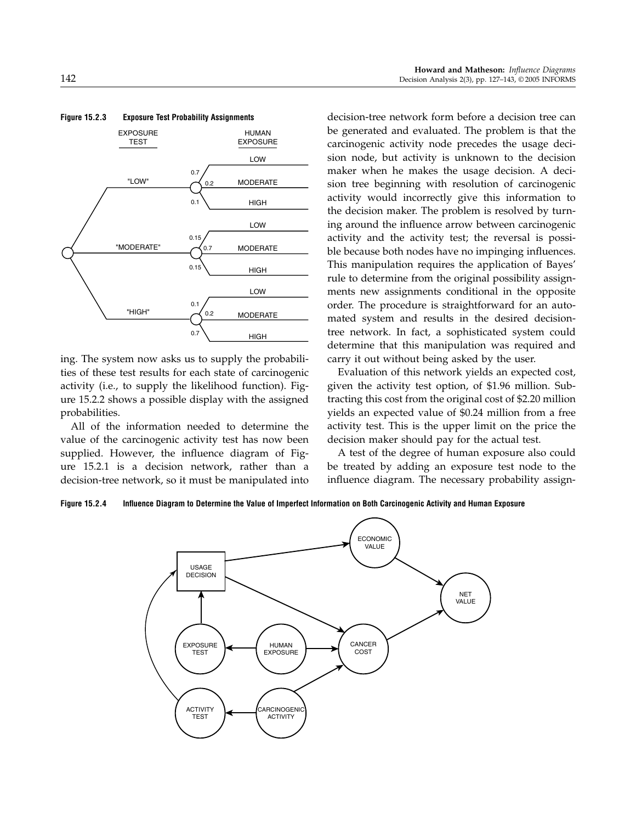

ing. The system now asks us to supply the probabilities of these test results for each state of carcinogenic activity (i.e., to supply the likelihood function). Figure 15.2.2 shows a possible display with the assigned probabilities.

All of the information needed to determine the value of the carcinogenic activity test has now been supplied. However, the influence diagram of Figure 15.2.1 is a decision network, rather than a decision-tree network, so it must be manipulated into

decision-tree network form before a decision tree can be generated and evaluated. The problem is that the carcinogenic activity node precedes the usage decision node, but activity is unknown to the decision maker when he makes the usage decision. A decision tree beginning with resolution of carcinogenic activity would incorrectly give this information to the decision maker. The problem is resolved by turning around the influence arrow between carcinogenic activity and the activity test; the reversal is possible because both nodes have no impinging influences. This manipulation requires the application of Bayes' rule to determine from the original possibility assignments new assignments conditional in the opposite order. The procedure is straightforward for an automated system and results in the desired decisiontree network. In fact, a sophisticated system could determine that this manipulation was required and carry it out without being asked by the user.

Evaluation of this network yields an expected cost, given the activity test option, of \$1.96 million. Subtracting this cost from the original cost of \$2.20 million yields an expected value of \$0.24 million from a free activity test. This is the upper limit on the price the decision maker should pay for the actual test.

A test of the degree of human exposure also could be treated by adding an exposure test node to the influence diagram. The necessary probability assign-

Figure 15.2.4 Influence Diagram to Determine the Value of Imperfect Information on Both Carcinogenic Activity and Human Exposure